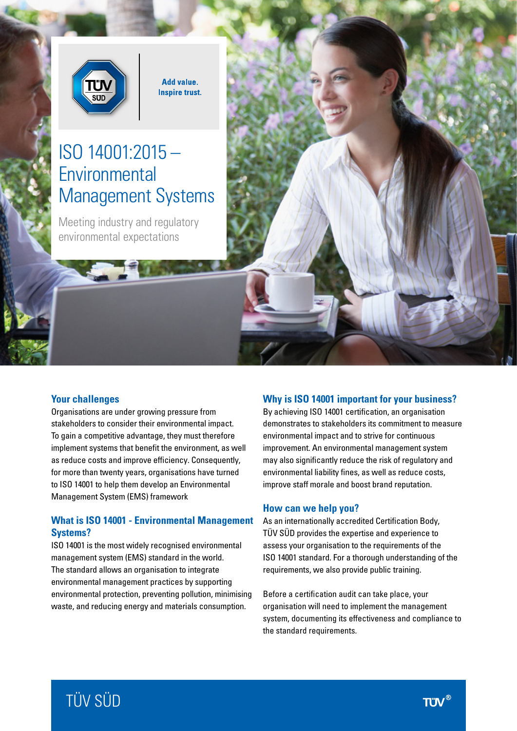

**Add value. Inspire trust.** 

# ISO 14001:2015 – **Environmental** Management Systems

Meeting industry and regulatory environmental expectations

#### **Your challenges**

Organisations are under growing pressure from stakeholders to consider their environmental impact. To gain a competitive advantage, they must therefore implement systems that benefit the environment, as well as reduce costs and improve efficiency. Consequently, for more than twenty years, organisations have turned to ISO 14001 to help them develop an Environmental Management System (EMS) framework

## **What is ISO 14001 - Environmental Management Systems?**

ISO 14001 is the most widely recognised environmental management system (EMS) standard in the world. The standard allows an organisation to integrate environmental management practices by supporting environmental protection, preventing pollution, minimising waste, and reducing energy and materials consumption.

#### **Why is ISO 14001 important for your business?**

By achieving ISO 14001 certification, an organisation demonstrates to stakeholders its commitment to measure environmental impact and to strive for continuous improvement. An environmental management system may also significantly reduce the risk of regulatory and environmental liability fines, as well as reduce costs, improve staff morale and boost brand reputation.

#### **How can we help you?**

As an internationally accredited Certification Body, TÜV SÜD provides the expertise and experience to assess your organisation to the requirements of the ISO 14001 standard. For a thorough understanding of the requirements, we also provide public training.

Before a certification audit can take place, your organisation will need to implement the management system, documenting its effectiveness and compliance to the standard requirements.